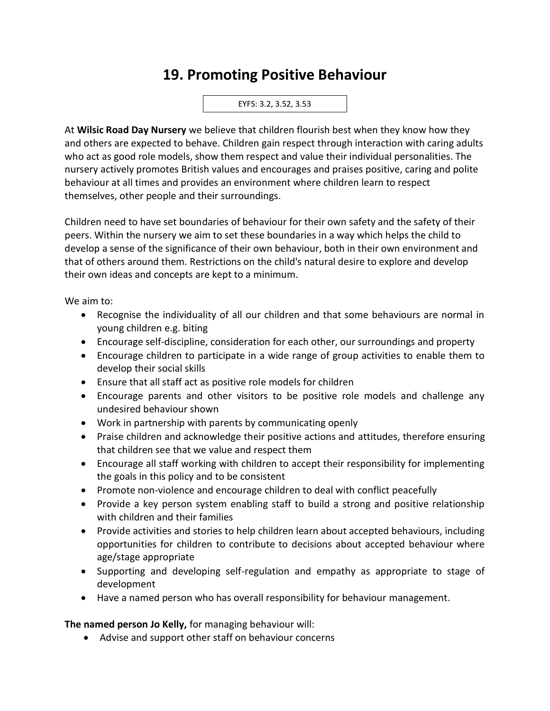## **19. Promoting Positive Behaviour**

## EYFS: 3.2, 3.52, 3.53

At **Wilsic Road Day Nursery** we believe that children flourish best when they know how they and others are expected to behave. Children gain respect through interaction with caring adults who act as good role models, show them respect and value their individual personalities. The nursery actively promotes British values and encourages and praises positive, caring and polite behaviour at all times and provides an environment where children learn to respect themselves, other people and their surroundings.

Children need to have set boundaries of behaviour for their own safety and the safety of their peers. Within the nursery we aim to set these boundaries in a way which helps the child to develop a sense of the significance of their own behaviour, both in their own environment and that of others around them. Restrictions on the child's natural desire to explore and develop their own ideas and concepts are kept to a minimum.

We aim to:

- Recognise the individuality of all our children and that some behaviours are normal in young children e.g. biting
- Encourage self-discipline, consideration for each other, our surroundings and property
- Encourage children to participate in a wide range of group activities to enable them to develop their social skills
- Ensure that all staff act as positive role models for children
- Encourage parents and other visitors to be positive role models and challenge any undesired behaviour shown
- Work in partnership with parents by communicating openly
- Praise children and acknowledge their positive actions and attitudes, therefore ensuring that children see that we value and respect them
- Encourage all staff working with children to accept their responsibility for implementing the goals in this policy and to be consistent
- Promote non-violence and encourage children to deal with conflict peacefully
- Provide a key person system enabling staff to build a strong and positive relationship with children and their families
- Provide activities and stories to help children learn about accepted behaviours, including opportunities for children to contribute to decisions about accepted behaviour where age/stage appropriate
- Supporting and developing self-regulation and empathy as appropriate to stage of development
- Have a named person who has overall responsibility for behaviour management.

**The named person Jo Kelly,** for managing behaviour will:

• Advise and support other staff on behaviour concerns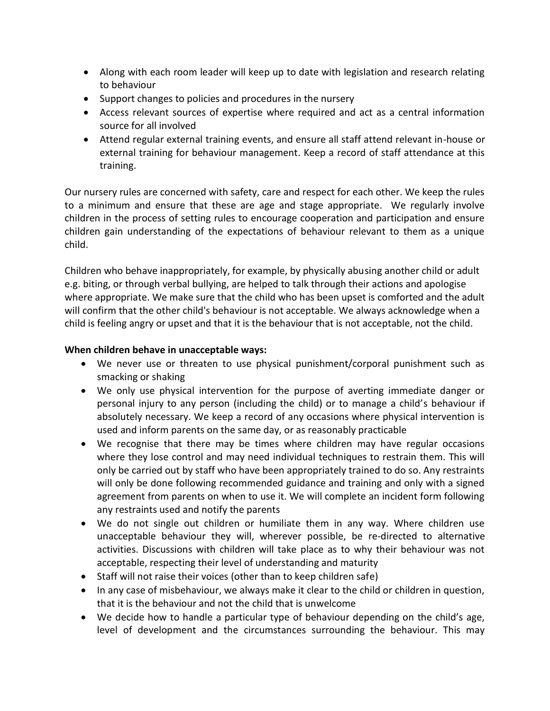- Along with each room leader will keep up to date with legislation and research relating to behaviour
- Support changes to policies and procedures in the nursery
- Access relevant sources of expertise where required and act as a central information source for all involved
- Attend regular external training events, and ensure all staff attend relevant in-house or external training for behaviour management. Keep a record of staff attendance at this training.

Our nursery rules are concerned with safety, care and respect for each other. We keep the rules to a minimum and ensure that these are age and stage appropriate. We regularly involve children in the process of setting rules to encourage cooperation and participation and ensure children gain understanding of the expectations of behaviour relevant to them as a unique child.

Children who behave inappropriately, for example, by physically abusing another child or adult e.g. biting, or through verbal bullying, are helped to talk through their actions and apologise where appropriate. We make sure that the child who has been upset is comforted and the adult will confirm that the other child's behaviour is not acceptable. We always acknowledge when a child is feeling angry or upset and that it is the behaviour that is not acceptable, not the child.

## **When children behave in unacceptable ways:**

- We never use or threaten to use physical punishment/corporal punishment such as smacking or shaking
- We only use physical intervention for the purpose of averting immediate danger or personal injury to any person (including the child) or to manage a child's behaviour if absolutely necessary. We keep a record of any occasions where physical intervention is used and inform parents on the same day, or as reasonably practicable
- We recognise that there may be times where children may have regular occasions where they lose control and may need individual techniques to restrain them. This will only be carried out by staff who have been appropriately trained to do so. Any restraints will only be done following recommended guidance and training and only with a signed agreement from parents on when to use it. We will complete an incident form following any restraints used and notify the parents
- We do not single out children or humiliate them in any way. Where children use unacceptable behaviour they will, wherever possible, be re-directed to alternative activities. Discussions with children will take place as to why their behaviour was not acceptable, respecting their level of understanding and maturity
- Staff will not raise their voices (other than to keep children safe)
- In any case of misbehaviour, we always make it clear to the child or children in question, that it is the behaviour and not the child that is unwelcome
- We decide how to handle a particular type of behaviour depending on the child's age, level of development and the circumstances surrounding the behaviour. This may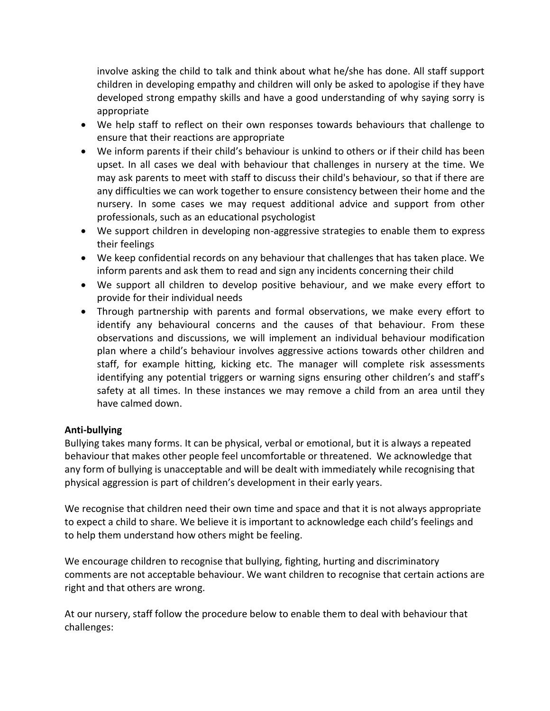involve asking the child to talk and think about what he/she has done. All staff support children in developing empathy and children will only be asked to apologise if they have developed strong empathy skills and have a good understanding of why saying sorry is appropriate

- We help staff to reflect on their own responses towards behaviours that challenge to ensure that their reactions are appropriate
- We inform parents if their child's behaviour is unkind to others or if their child has been upset. In all cases we deal with behaviour that challenges in nursery at the time. We may ask parents to meet with staff to discuss their child's behaviour, so that if there are any difficulties we can work together to ensure consistency between their home and the nursery. In some cases we may request additional advice and support from other professionals, such as an educational psychologist
- We support children in developing non-aggressive strategies to enable them to express their feelings
- We keep confidential records on any behaviour that challenges that has taken place. We inform parents and ask them to read and sign any incidents concerning their child
- We support all children to develop positive behaviour, and we make every effort to provide for their individual needs
- Through partnership with parents and formal observations, we make every effort to identify any behavioural concerns and the causes of that behaviour. From these observations and discussions, we will implement an individual behaviour modification plan where a child's behaviour involves aggressive actions towards other children and staff, for example hitting, kicking etc. The manager will complete risk assessments identifying any potential triggers or warning signs ensuring other children's and staff's safety at all times. In these instances we may remove a child from an area until they have calmed down.

## **Anti-bullying**

Bullying takes many forms. It can be physical, verbal or emotional, but it is always a repeated behaviour that makes other people feel uncomfortable or threatened. We acknowledge that any form of bullying is unacceptable and will be dealt with immediately while recognising that physical aggression is part of children's development in their early years.

We recognise that children need their own time and space and that it is not always appropriate to expect a child to share. We believe it is important to acknowledge each child's feelings and to help them understand how others might be feeling.

We encourage children to recognise that bullying, fighting, hurting and discriminatory comments are not acceptable behaviour. We want children to recognise that certain actions are right and that others are wrong.

At our nursery, staff follow the procedure below to enable them to deal with behaviour that challenges: